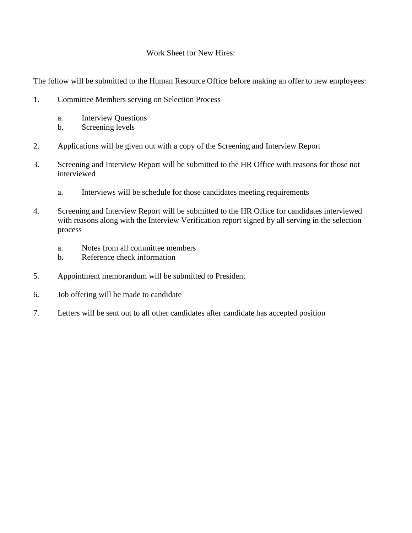#### Work Sheet for New Hires:

The follow will be submitted to the Human Resource Office before making an offer to new employees:

- 1. Committee Members serving on Selection Process
	- a. Interview Questions
	- b. Screening levels
- 2. Applications will be given out with a copy of the Screening and Interview Report
- 3. Screening and Interview Report will be submitted to the HR Office with reasons for those not interviewed
	- a. Interviews will be schedule for those candidates meeting requirements
- 4. Screening and Interview Report will be submitted to the HR Office for candidates interviewed with reasons along with the Interview Verification report signed by all serving in the selection process
	- a. Notes from all committee members
	- b. Reference check information
- 5. Appointment memorandum will be submitted to President
- 6. Job offering will be made to candidate
- 7. Letters will be sent out to all other candidates after candidate has accepted position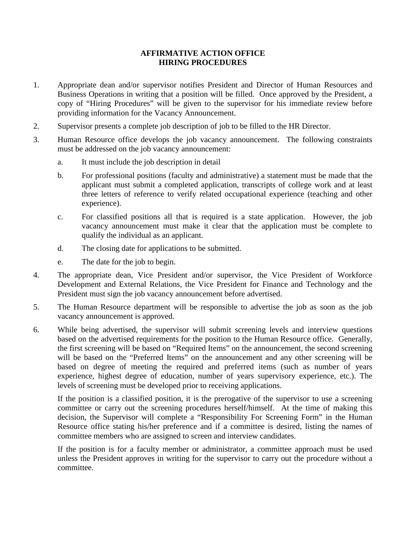#### **AFFIRMATIVE ACTION OFFICE HIRING PROCEDURES**

- 1. Appropriate dean and/or supervisor notifies President and Director of Human Resources and Business Operations in writing that a position will be filled. Once approved by the President, a copy of "Hiring Procedures" will be given to the supervisor for his immediate review before providing information for the Vacancy Announcement.
- 2. Supervisor presents a complete job description of job to be filled to the HR Director.
- 3. Human Resource office develops the job vacancy announcement. The following constraints must be addressed on the job vacancy announcement:
	- a. It must include the job description in detail
	- b. For professional positions (faculty and administrative) a statement must be made that the applicant must submit a completed application, transcripts of college work and at least three letters of reference to verify related occupational experience (teaching and other experience).
	- c. For classified positions all that is required is a state application. However, the job vacancy announcement must make it clear that the application must be complete to qualify the individual as an applicant.
	- d. The closing date for applications to be submitted.
	- e. The date for the job to begin.
- 4. The appropriate dean, Vice President and/or supervisor, the Vice President of Workforce Development and External Relations, the Vice President for Finance and Technology and the President must sign the job vacancy announcement before advertised.
- 5. The Human Resource department will be responsible to advertise the job as soon as the job vacancy announcement is approved.
- 6. While being advertised, the supervisor will submit screening levels and interview questions based on the advertised requirements for the position to the Human Resource office. Generally, the first screening will be based on "Required Items" on the announcement, the second screening will be based on the "Preferred Items" on the announcement and any other screening will be based on degree of meeting the required and preferred items (such as number of years experience, highest degree of education, number of years supervisory experience, etc.). The levels of screening must be developed prior to receiving applications.

If the position is a classified position, it is the prerogative of the supervisor to use a screening committee or carry out the screening procedures herself/himself. At the time of making this decision, the Supervisor will complete a "Responsibility For Screening Form" in the Human Resource office stating his/her preference and if a committee is desired, listing the names of committee members who are assigned to screen and interview candidates.

If the position is for a faculty member or administrator, a committee approach must be used unless the President approves in writing for the supervisor to carry out the procedure without a committee.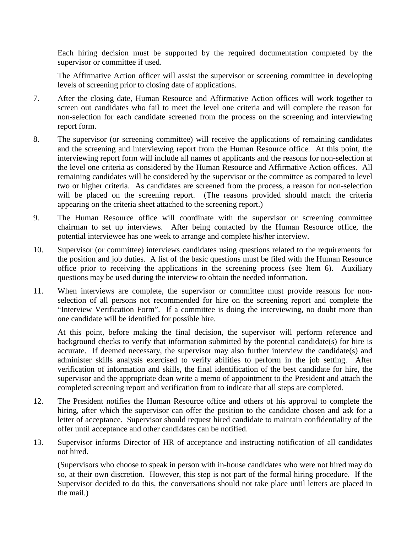Each hiring decision must be supported by the required documentation completed by the supervisor or committee if used.

The Affirmative Action officer will assist the supervisor or screening committee in developing levels of screening prior to closing date of applications.

- 7. After the closing date, Human Resource and Affirmative Action offices will work together to screen out candidates who fail to meet the level one criteria and will complete the reason for non-selection for each candidate screened from the process on the screening and interviewing report form.
- 8. The supervisor (or screening committee) will receive the applications of remaining candidates and the screening and interviewing report from the Human Resource office. At this point, the interviewing report form will include all names of applicants and the reasons for non-selection at the level one criteria as considered by the Human Resource and Affirmative Action offices. All remaining candidates will be considered by the supervisor or the committee as compared to level two or higher criteria. As candidates are screened from the process, a reason for non-selection will be placed on the screening report. (The reasons provided should match the criteria appearing on the criteria sheet attached to the screening report.)
- 9. The Human Resource office will coordinate with the supervisor or screening committee chairman to set up interviews. After being contacted by the Human Resource office, the potential interviewee has one week to arrange and complete his/her interview.
- 10. Supervisor (or committee) interviews candidates using questions related to the requirements for the position and job duties. A list of the basic questions must be filed with the Human Resource office prior to receiving the applications in the screening process (see Item 6). Auxiliary questions may be used during the interview to obtain the needed information.
- 11. When interviews are complete, the supervisor or committee must provide reasons for nonselection of all persons not recommended for hire on the screening report and complete the "Interview Verification Form". If a committee is doing the interviewing, no doubt more than one candidate will be identified for possible hire.

At this point, before making the final decision, the supervisor will perform reference and background checks to verify that information submitted by the potential candidate(s) for hire is accurate. If deemed necessary, the supervisor may also further interview the candidate(s) and administer skills analysis exercised to verify abilities to perform in the job setting. After verification of information and skills, the final identification of the best candidate for hire, the supervisor and the appropriate dean write a memo of appointment to the President and attach the completed screening report and verification from to indicate that all steps are completed.

- 12. The President notifies the Human Resource office and others of his approval to complete the hiring, after which the supervisor can offer the position to the candidate chosen and ask for a letter of acceptance. Supervisor should request hired candidate to maintain confidentiality of the offer until acceptance and other candidates can be notified.
- 13. Supervisor informs Director of HR of acceptance and instructing notification of all candidates not hired.

(Supervisors who choose to speak in person with in-house candidates who were not hired may do so, at their own discretion. However, this step is not part of the formal hiring procedure. If the Supervisor decided to do this, the conversations should not take place until letters are placed in the mail.)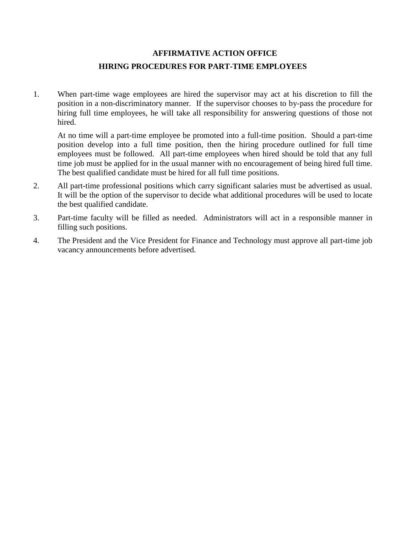## **AFFIRMATIVE ACTION OFFICE HIRING PROCEDURES FOR PART-TIME EMPLOYEES**

1. When part-time wage employees are hired the supervisor may act at his discretion to fill the position in a non-discriminatory manner. If the supervisor chooses to by-pass the procedure for hiring full time employees, he will take all responsibility for answering questions of those not hired.

At no time will a part-time employee be promoted into a full-time position. Should a part-time position develop into a full time position, then the hiring procedure outlined for full time employees must be followed. All part-time employees when hired should be told that any full time job must be applied for in the usual manner with no encouragement of being hired full time. The best qualified candidate must be hired for all full time positions.

- 2. All part-time professional positions which carry significant salaries must be advertised as usual. It will be the option of the supervisor to decide what additional procedures will be used to locate the best qualified candidate.
- 3. Part-time faculty will be filled as needed. Administrators will act in a responsible manner in filling such positions.
- 4. The President and the Vice President for Finance and Technology must approve all part-time job vacancy announcements before advertised.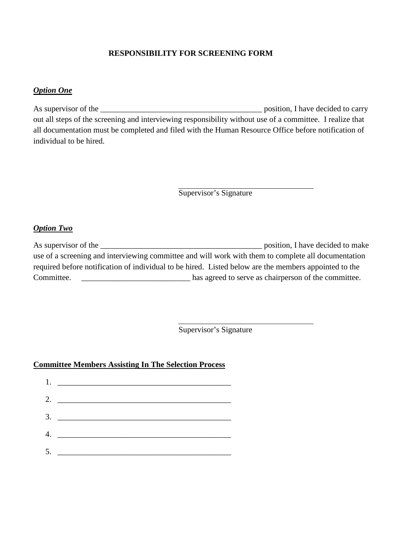### **RESPONSIBILITY FOR SCREENING FORM**

### *Option One*

As supervisor of the \_\_\_\_\_\_\_\_\_\_\_\_\_\_\_\_\_\_\_\_\_\_\_\_\_\_\_\_\_\_\_\_\_\_\_\_\_\_\_\_ position, I have decided to carry out all steps of the screening and interviewing responsibility without use of a committee. I realize that all documentation must be completed and filed with the Human Resource Office before notification of individual to be hired.

Supervisor's Signature

#### *Option Two*

| As supervisor of the                                                                                  | position, I have decided to make                     |  |
|-------------------------------------------------------------------------------------------------------|------------------------------------------------------|--|
| use of a screening and interviewing committee and will work with them to complete all documentation   |                                                      |  |
| required before notification of individual to be hired. Listed below are the members appointed to the |                                                      |  |
| Committee.                                                                                            | has agreed to serve as chairperson of the committee. |  |

Supervisor's Signature

#### **Committee Members Assisting In The Selection Process**

| 2. $\qquad \qquad$           |
|------------------------------|
|                              |
| 4. $\overline{\phantom{a}1}$ |
|                              |
|                              |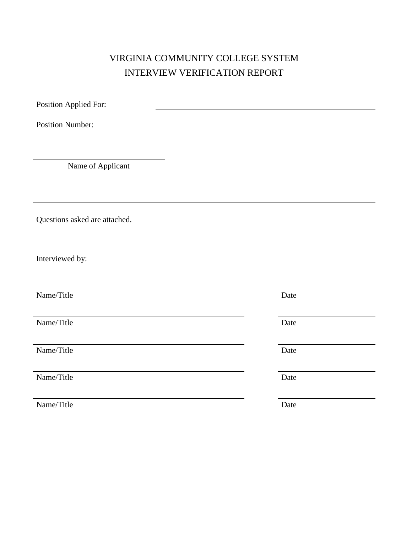# VIRGINIA COMMUNITY COLLEGE SYSTEM INTERVIEW VERIFICATION REPORT

| Position Applied For:         |      |
|-------------------------------|------|
| <b>Position Number:</b>       |      |
|                               |      |
|                               |      |
| Name of Applicant             |      |
|                               |      |
|                               |      |
| Questions asked are attached. |      |
|                               |      |
| Interviewed by:               |      |
|                               |      |
| Name/Title                    | Date |
| Name/Title                    |      |
|                               | Date |
| Name/Title                    | Date |
|                               |      |
| Name/Title                    | Date |
| Name/Title                    | Date |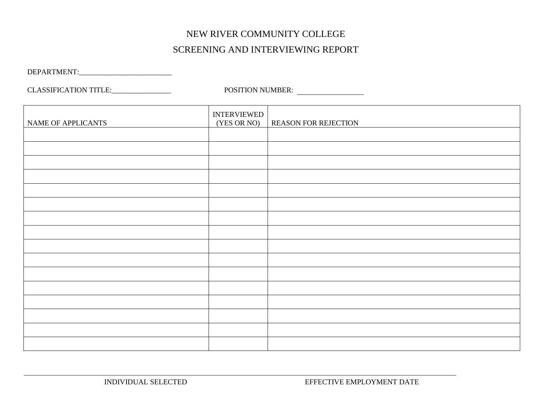# NEW RIVER COMMUNITY COLLEGE SCREENING AND INTERVIEWING REPORT

DEPARTMENT:\_\_\_\_\_\_\_\_\_\_\_\_\_\_\_\_\_\_\_\_\_\_\_\_\_

CLASSIFICATION TITLE:\_\_\_\_\_\_\_\_\_\_\_\_\_\_\_\_ POSITION NUMBER:

| NAME OF APPLICANTS | <b>INTERVIEWED</b><br>(YES OR NO) | <b>REASON FOR REJECTION</b> |
|--------------------|-----------------------------------|-----------------------------|
|                    |                                   |                             |
|                    |                                   |                             |
|                    |                                   |                             |
|                    |                                   |                             |
|                    |                                   |                             |
|                    |                                   |                             |
|                    |                                   |                             |
|                    |                                   |                             |
|                    |                                   |                             |
|                    |                                   |                             |
|                    |                                   |                             |
|                    |                                   |                             |
|                    |                                   |                             |
|                    |                                   |                             |
|                    |                                   |                             |
|                    |                                   |                             |

INDIVIDUAL SELECTED EFFECTIVE EMPLOYMENT DATE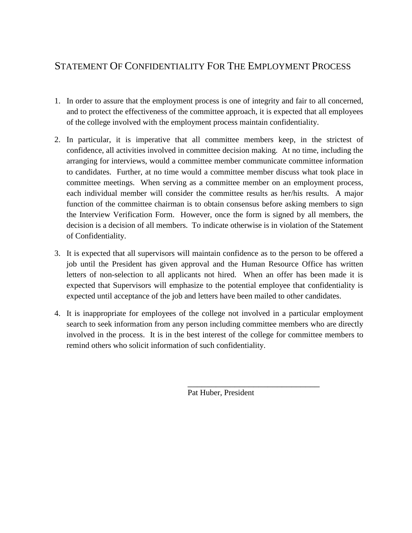## STATEMENT OF CONFIDENTIALITY FOR THE EMPLOYMENT PROCESS

- 1. In order to assure that the employment process is one of integrity and fair to all concerned, and to protect the effectiveness of the committee approach, it is expected that all employees of the college involved with the employment process maintain confidentiality.
- 2. In particular, it is imperative that all committee members keep, in the strictest of confidence, all activities involved in committee decision making. At no time, including the arranging for interviews, would a committee member communicate committee information to candidates. Further, at no time would a committee member discuss what took place in committee meetings. When serving as a committee member on an employment process, each individual member will consider the committee results as her/his results. A major function of the committee chairman is to obtain consensus before asking members to sign the Interview Verification Form. However, once the form is signed by all members, the decision is a decision of all members. To indicate otherwise is in violation of the Statement of Confidentiality.
- 3. It is expected that all supervisors will maintain confidence as to the person to be offered a job until the President has given approval and the Human Resource Office has written letters of non-selection to all applicants not hired. When an offer has been made it is expected that Supervisors will emphasize to the potential employee that confidentiality is expected until acceptance of the job and letters have been mailed to other candidates.
- 4. It is inappropriate for employees of the college not involved in a particular employment search to seek information from any person including committee members who are directly involved in the process. It is in the best interest of the college for committee members to remind others who solicit information of such confidentiality.

Pat Huber, President

\_\_\_\_\_\_\_\_\_\_\_\_\_\_\_\_\_\_\_\_\_\_\_\_\_\_\_\_